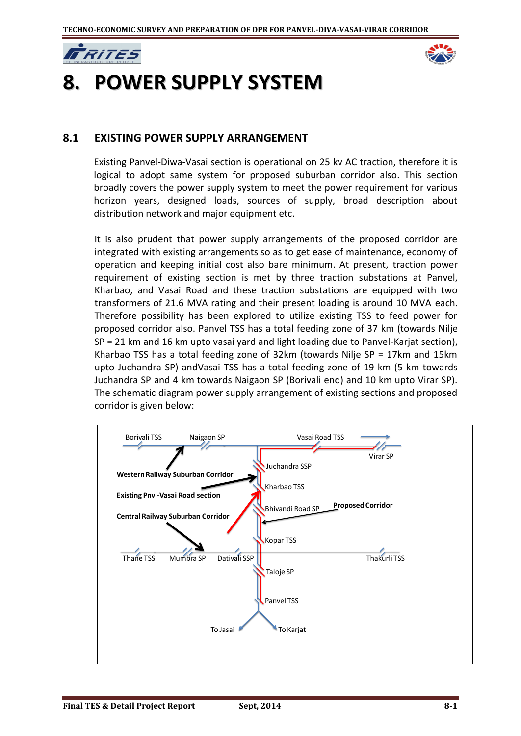



# **8. POWER SUPPLY SYSTEM**

#### **8.1 EXISTING POWER SUPPLY ARRANGEMENT**

Existing Panvel-Diwa-Vasai section is operational on 25 kv AC traction, therefore it is logical to adopt same system for proposed suburban corridor also. This section broadly covers the power supply system to meet the power requirement for various horizon years, designed loads, sources of supply, broad description about distribution network and major equipment etc.

It is also prudent that power supply arrangements of the proposed corridor are integrated with existing arrangements so as to get ease of maintenance, economy of operation and keeping initial cost also bare minimum. At present, traction power requirement of existing section is met by three traction substations at Panvel, Kharbao, and Vasai Road and these traction substations are equipped with two transformers of 21.6 MVA rating and their present loading is around 10 MVA each. Therefore possibility has been explored to utilize existing TSS to feed power for proposed corridor also. Panvel TSS has a total feeding zone of 37 km (towards Nilje SP = 21 km and 16 km upto vasai yard and light loading due to Panvel-Karjat section), Kharbao TSS has a total feeding zone of 32km (towards Nilje SP = 17km and 15km upto Juchandra SP) andVasai TSS has a total feeding zone of 19 km (5 km towards Juchandra SP and 4 km towards Naigaon SP (Borivali end) and 10 km upto Virar SP). The schematic diagram power supply arrangement of existing sections and proposed corridor is given below:

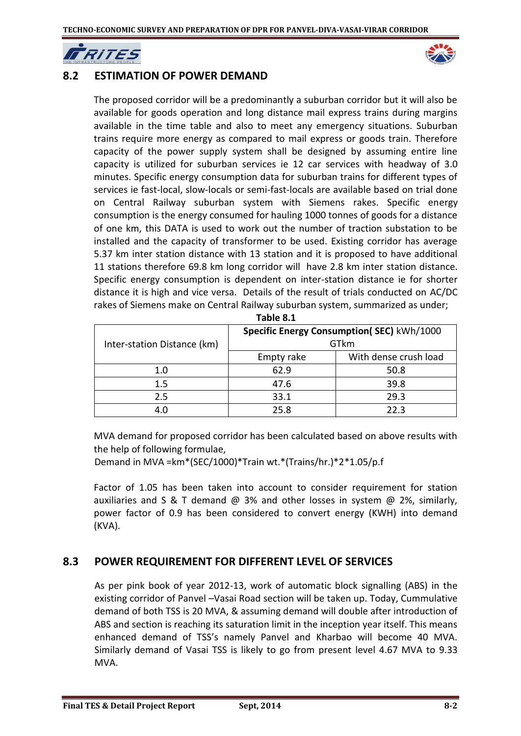

## **8.2 ESTIMATION OF POWER DEMAND**

The proposed corridor will be a predominantly a suburban corridor but it will also be available for goods operation and long distance mail express trains during margins available in the time table and also to meet any emergency situations. Suburban trains require more energy as compared to mail express or goods train. Therefore capacity of the power supply system shall be designed by assuming entire line capacity is utilized for suburban services ie 12 car services with headway of 3.0 minutes. Specific energy consumption data for suburban trains for different types of services ie fast-local, slow-locals or semi-fast-locals are available based on trial done on Central Railway suburban system with Siemens rakes. Specific energy consumption is the energy consumed for hauling 1000 tonnes of goods for a distance of one km, this DATA is used to work out the number of traction substation to be installed and the capacity of transformer to be used. Existing corridor has average 5.37 km inter station distance with 13 station and it is proposed to have additional 11 stations therefore 69.8 km long corridor will have 2.8 km inter station distance. Specific energy consumption is dependent on inter-station distance ie for shorter distance it is high and vice versa. Details of the result of trials conducted on AC/DC rakes of Siemens make on Central Railway suburban system, summarized as under;

| Inter-station Distance (km) | <b>Specific Energy Consumption(SEC) kWh/1000</b><br>GTkm |                       |  |  |
|-----------------------------|----------------------------------------------------------|-----------------------|--|--|
|                             | Empty rake                                               | With dense crush load |  |  |
| 1.0                         | 62.9                                                     | 50.8                  |  |  |
| $1.5\,$                     | 47.6                                                     | 39.8                  |  |  |
| 2.5                         | 33.1                                                     | 29.3                  |  |  |
|                             | 25.8                                                     | 22 Z                  |  |  |

| Table 8.1 |  |  |
|-----------|--|--|
|-----------|--|--|

MVA demand for proposed corridor has been calculated based on above results with the help of following formulae,

Demand in MVA =km\*(SEC/1000)\*Train wt.\*(Trains/hr.)\*2\*1.05/p.f

Factor of 1.05 has been taken into account to consider requirement for station auxiliaries and S & T demand  $\omega$  3% and other losses in system  $\omega$  2%, similarly, power factor of 0.9 has been considered to convert energy (KWH) into demand (KVA).

## **8.3 POWER REQUIREMENT FOR DIFFERENT LEVEL OF SERVICES**

As per pink book of year 2012-13, work of automatic block signalling (ABS) in the existing corridor of Panvel –Vasai Road section will be taken up. Today, Cummulative demand of both TSS is 20 MVA, & assuming demand will double after introduction of ABS and section is reaching its saturation limit in the inception year itself. This means enhanced demand of TSS's namely Panvel and Kharbao will become 40 MVA. Similarly demand of Vasai TSS is likely to go from present level 4.67 MVA to 9.33 MVA.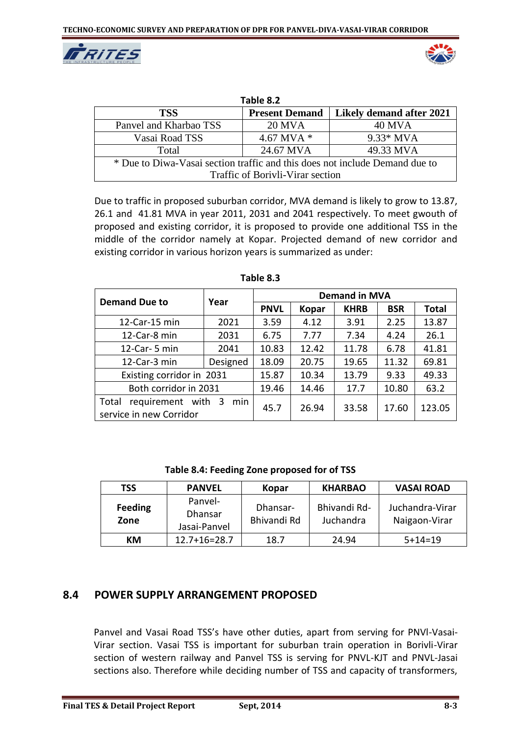



| Table 8.2                                                                   |                       |                          |  |  |  |
|-----------------------------------------------------------------------------|-----------------------|--------------------------|--|--|--|
| <b>TSS</b>                                                                  | <b>Present Demand</b> | Likely demand after 2021 |  |  |  |
| Panvel and Kharbao TSS                                                      | <b>20 MVA</b>         | <b>40 MVA</b>            |  |  |  |
| Vasai Road TSS                                                              | 4.67 MVA $*$          | $9.33*$ MVA              |  |  |  |
| Total                                                                       | 24.67 MVA             | 49.33 MVA                |  |  |  |
| * Due to Diwa-Vasai section traffic and this does not include Demand due to |                       |                          |  |  |  |
| Traffic of Borivli-Virar section                                            |                       |                          |  |  |  |

Due to traffic in proposed suburban corridor, MVA demand is likely to grow to 13.87, 26.1 and 41.81 MVA in year 2011, 2031 and 2041 respectively. To meet gwouth of proposed and existing corridor, it is proposed to provide one additional TSS in the middle of the corridor namely at Kopar. Projected demand of new corridor and existing corridor in various horizon years is summarized as under:

| <b>Demand Due to</b>                                   | Year     | <b>Demand in MVA</b> |              |             |            |              |  |
|--------------------------------------------------------|----------|----------------------|--------------|-------------|------------|--------------|--|
|                                                        |          | <b>PNVL</b>          | <b>Kopar</b> | <b>KHRB</b> | <b>BSR</b> | <b>Total</b> |  |
| 12-Car-15 min                                          | 2021     | 3.59                 | 4.12         | 3.91        | 2.25       | 13.87        |  |
| 12-Car-8 min                                           | 2031     | 6.75                 | 7.77         | 7.34        | 4.24       | 26.1         |  |
| 12-Car- 5 min                                          | 2041     | 10.83                | 12.42        | 11.78       | 6.78       | 41.81        |  |
| 12-Car-3 min                                           | Designed | 18.09                | 20.75        | 19.65       | 11.32      | 69.81        |  |
| Existing corridor in 2031                              |          | 15.87                | 10.34        | 13.79       | 9.33       | 49.33        |  |
| Both corridor in 2031                                  |          | 19.46                | 14.46        | 17.7        | 10.80      | 63.2         |  |
| requirement with 3<br>Total<br>service in new Corridor | 45.7     | 26.94                | 33.58        | 17.60       | 123.05     |              |  |

**Table 8.3**

**Table 8.4: Feeding Zone proposed for of TSS**

| TSS                    | <b>PANVEL</b>                             | Kopar                   | <b>KHARBAO</b>            | <b>VASAI ROAD</b>                |
|------------------------|-------------------------------------------|-------------------------|---------------------------|----------------------------------|
| <b>Feeding</b><br>Zone | Panvel-<br><b>Dhansar</b><br>Jasai-Panvel | Dhansar-<br>Bhivandi Rd | Bhivandi Rd-<br>Juchandra | Juchandra-Virar<br>Naigaon-Virar |
| КM                     | $12.7 + 16 = 28.7$                        | 18.7                    | 24.94                     | $5+14=19$                        |

## **8.4 POWER SUPPLY ARRANGEMENT PROPOSED**

Panvel and Vasai Road TSS's have other duties, apart from serving for PNVl-Vasai-Virar section. Vasai TSS is important for suburban train operation in Borivli-Virar section of western railway and Panvel TSS is serving for PNVL-KJT and PNVL-Jasai sections also. Therefore while deciding number of TSS and capacity of transformers,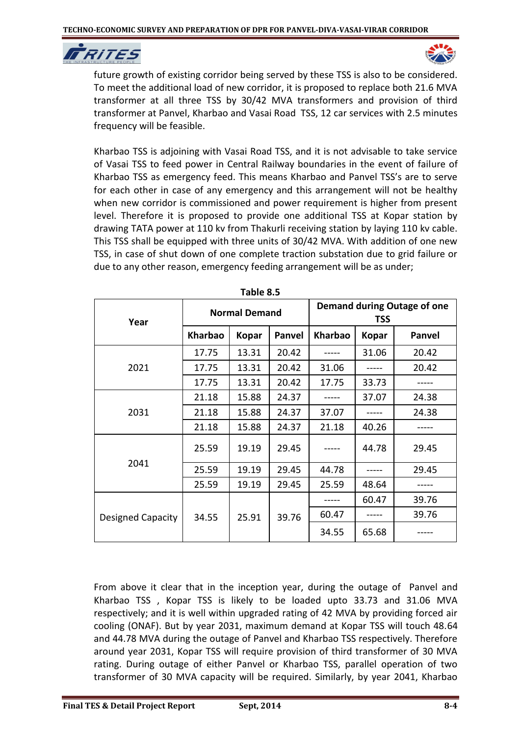



future growth of existing corridor being served by these TSS is also to be considered. To meet the additional load of new corridor, it is proposed to replace both 21.6 MVA transformer at all three TSS by 30/42 MVA transformers and provision of third transformer at Panvel, Kharbao and Vasai Road TSS, 12 car services with 2.5 minutes frequency will be feasible.

Kharbao TSS is adjoining with Vasai Road TSS, and it is not advisable to take service of Vasai TSS to feed power in Central Railway boundaries in the event of failure of Kharbao TSS as emergency feed. This means Kharbao and Panvel TSS's are to serve for each other in case of any emergency and this arrangement will not be healthy when new corridor is commissioned and power requirement is higher from present level. Therefore it is proposed to provide one additional TSS at Kopar station by drawing TATA power at 110 kv from Thakurli receiving station by laying 110 kv cable. This TSS shall be equipped with three units of 30/42 MVA. With addition of one new TSS, in case of shut down of one complete traction substation due to grid failure or due to any other reason, emergency feeding arrangement will be as under;

| יטאוכ טוס         |                      |              |        |                                           |              |               |  |
|-------------------|----------------------|--------------|--------|-------------------------------------------|--------------|---------------|--|
| Year              | <b>Normal Demand</b> |              |        | Demand during Outage of one<br><b>TSS</b> |              |               |  |
|                   | <b>Kharbao</b>       | <b>Kopar</b> | Panvel | <b>Kharbao</b>                            | <b>Kopar</b> | <b>Panvel</b> |  |
|                   | 17.75                | 13.31        | 20.42  |                                           | 31.06        | 20.42         |  |
| 2021              | 17.75                | 13.31        | 20.42  | 31.06                                     |              | 20.42         |  |
|                   | 17.75                | 13.31        | 20.42  | 17.75                                     | 33.73        |               |  |
|                   | 21.18                | 15.88        | 24.37  |                                           | 37.07        | 24.38         |  |
| 2031              | 21.18                | 15.88        | 24.37  | 37.07                                     |              | 24.38         |  |
|                   | 21.18                | 15.88        | 24.37  | 21.18                                     | 40.26        |               |  |
| 2041              | 25.59                | 19.19        | 29.45  |                                           | 44.78        | 29.45         |  |
|                   | 25.59                | 19.19        | 29.45  | 44.78                                     |              | 29.45         |  |
|                   | 25.59                | 19.19        | 29.45  | 25.59                                     | 48.64        |               |  |
| Designed Capacity | 25.91<br>34.55       |              | 39.76  |                                           | 60.47        | 39.76         |  |
|                   |                      |              |        | 60.47                                     |              | 39.76         |  |
|                   |                      |              | 34.55  | 65.68                                     |              |               |  |

**Table 8.5**

From above it clear that in the inception year, during the outage of Panvel and Kharbao TSS , Kopar TSS is likely to be loaded upto 33.73 and 31.06 MVA respectively; and it is well within upgraded rating of 42 MVA by providing forced air cooling (ONAF). But by year 2031, maximum demand at Kopar TSS will touch 48.64 and 44.78 MVA during the outage of Panvel and Kharbao TSS respectively. Therefore around year 2031, Kopar TSS will require provision of third transformer of 30 MVA rating. During outage of either Panvel or Kharbao TSS, parallel operation of two transformer of 30 MVA capacity will be required. Similarly, by year 2041, Kharbao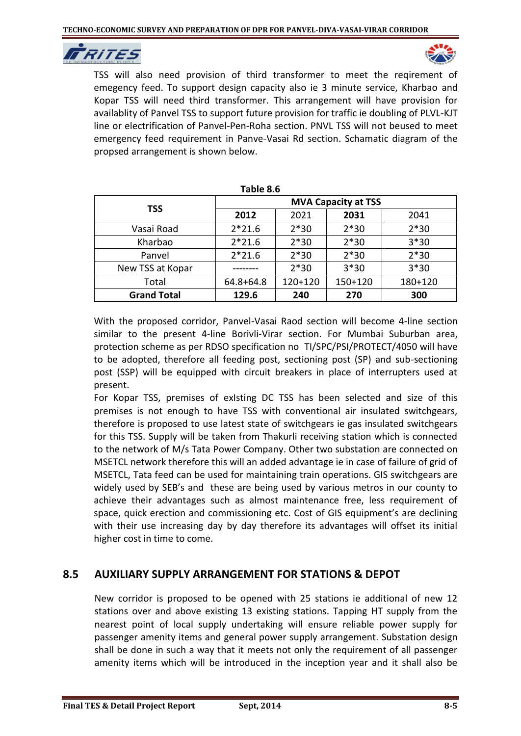



TSS will also need provision of third transformer to meet the reqirement of emegency feed. To support design capacity also ie 3 minute service, Kharbao and Kopar TSS will need third transformer. This arrangement will have provision for availablity of Panvel TSS to support future provision for traffic ie doubling of PLVL-KJT line or electrification of Panvel-Pen-Roha section. PNVL TSS will not beused to meet emergency feed requirement in Panve-Vasai Rd section. Schamatic diagram of the propsed arrangement is shown below.

| טוט טושו           |                            |           |             |         |  |  |
|--------------------|----------------------------|-----------|-------------|---------|--|--|
| <b>TSS</b>         | <b>MVA Capacity at TSS</b> |           |             |         |  |  |
|                    | 2012                       | 2021      | 2031        | 2041    |  |  |
| Vasai Road         | $2*21.6$                   | $2*30$    | $2*30$      | $2*30$  |  |  |
| Kharbao            | $2*21.6$                   | $2*30$    | $2*30$      | $3*30$  |  |  |
| Panvel             | $2*21.6$                   | $2*30$    | $2*30$      | $2*30$  |  |  |
| New TSS at Kopar   |                            | $2*30$    | $3*30$      | $3*30$  |  |  |
| Total              | $64.8 + 64.8$              | $120+120$ | $150 + 120$ | 180+120 |  |  |
| <b>Grand Total</b> | 129.6                      | 240       | 270         | 300     |  |  |

**Table 8.6**

With the proposed corridor, Panvel-Vasai Raod section will become 4-line section similar to the present 4-line Borivli-Virar section. For Mumbai Suburban area, protection scheme as per RDSO specification no TI/SPC/PSI/PROTECT/4050 will have to be adopted, therefore all feeding post, sectioning post (SP) and sub-sectioning post (SSP) will be equipped with circuit breakers in place of interrupters used at present.

For Kopar TSS, premises of exIsting DC TSS has been selected and size of this premises is not enough to have TSS with conventional air insulated switchgears, therefore is proposed to use latest state of switchgears ie gas insulated switchgears for this TSS. Supply will be taken from Thakurli receiving station which is connected to the network of M/s Tata Power Company. Other two substation are connected on MSETCL network therefore this will an added advantage ie in case of failure of grid of MSETCL, Tata feed can be used for maintaining train operations. GIS switchgears are widely used by SEB's and these are being used by various metros in our county to achieve their advantages such as almost maintenance free, less requirement of space, quick erection and commissioning etc. Cost of GIS equipment's are declining with their use increasing day by day therefore its advantages will offset its initial higher cost in time to come.

## **8.5 AUXILIARY SUPPLY ARRANGEMENT FOR STATIONS & DEPOT**

New corridor is proposed to be opened with 25 stations ie additional of new 12 stations over and above existing 13 existing stations. Tapping HT supply from the nearest point of local supply undertaking will ensure reliable power supply for passenger amenity items and general power supply arrangement. Substation design shall be done in such a way that it meets not only the requirement of all passenger amenity items which will be introduced in the inception year and it shall also be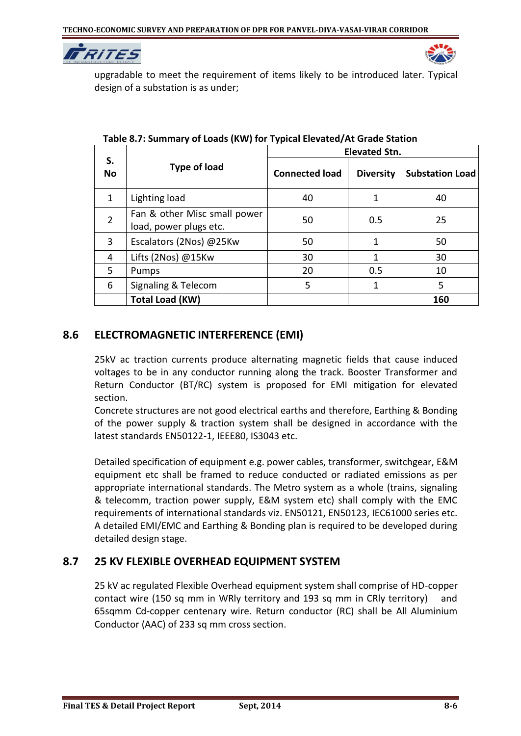



upgradable to meet the requirement of items likely to be introduced later. Typical design of a substation is as under;

|                 |                                                        | <b>Elevated Stn.</b>  |                  |                        |  |
|-----------------|--------------------------------------------------------|-----------------------|------------------|------------------------|--|
| S.<br><b>No</b> | <b>Type of load</b>                                    | <b>Connected load</b> | <b>Diversity</b> | <b>Substation Load</b> |  |
| 1               | Lighting load                                          | 40                    | 1                | 40                     |  |
| $\overline{2}$  | Fan & other Misc small power<br>load, power plugs etc. | 50                    | 0.5              | 25                     |  |
| 3               | Escalators (2Nos) @25Kw                                | 50                    | 1                | 50                     |  |
| 4               | Lifts (2Nos) @15Kw                                     | 30                    | 1                | 30                     |  |
| 5               | Pumps                                                  | 20                    | 0.5              | 10                     |  |
| 6               | Signaling & Telecom                                    | 5                     | 1                | 5                      |  |
|                 | <b>Total Load (KW)</b>                                 |                       |                  | 160                    |  |

#### **Table 8.7: Summary of Loads (KW) for Typical Elevated/At Grade Station**

## **8.6 ELECTROMAGNETIC INTERFERENCE (EMI)**

25kV ac traction currents produce alternating magnetic fields that cause induced voltages to be in any conductor running along the track. Booster Transformer and Return Conductor (BT/RC) system is proposed for EMI mitigation for elevated section.

Concrete structures are not good electrical earths and therefore, Earthing & Bonding of the power supply & traction system shall be designed in accordance with the latest standards EN50122-1, IEEE80, IS3043 etc.

Detailed specification of equipment e.g. power cables, transformer, switchgear, E&M equipment etc shall be framed to reduce conducted or radiated emissions as per appropriate international standards. The Metro system as a whole (trains, signaling & telecomm, traction power supply, E&M system etc) shall comply with the EMC requirements of international standards viz. EN50121, EN50123, IEC61000 series etc. A detailed EMI/EMC and Earthing & Bonding plan is required to be developed during detailed design stage.

## **8.7 25 KV FLEXIBLE OVERHEAD EQUIPMENT SYSTEM**

25 kV ac regulated Flexible Overhead equipment system shall comprise of HD-copper contact wire (150 sq mm in WRly territory and 193 sq mm in CRly territory) and 65sqmm Cd-copper centenary wire. Return conductor (RC) shall be All Aluminium Conductor (AAC) of 233 sq mm cross section.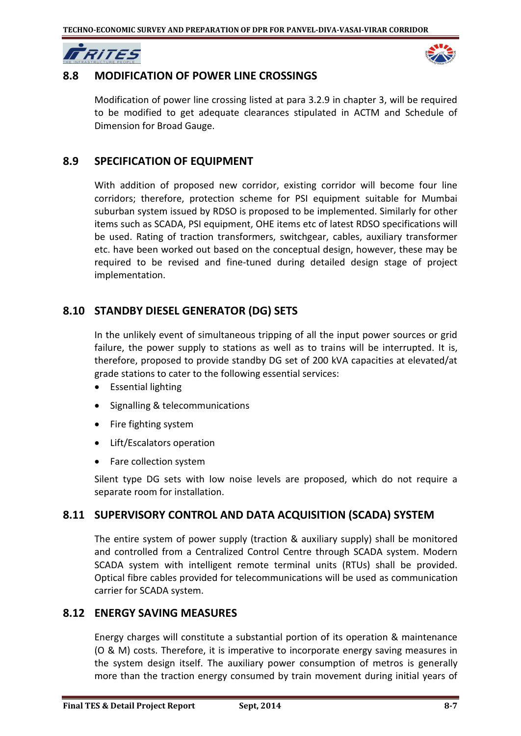



#### **8.8 MODIFICATION OF POWER LINE CROSSINGS**

Modification of power line crossing listed at para 3.2.9 in chapter 3, will be required to be modified to get adequate clearances stipulated in ACTM and Schedule of Dimension for Broad Gauge.

#### **8.9 SPECIFICATION OF EQUIPMENT**

With addition of proposed new corridor, existing corridor will become four line corridors; therefore, protection scheme for PSI equipment suitable for Mumbai suburban system issued by RDSO is proposed to be implemented. Similarly for other items such as SCADA, PSI equipment, OHE items etc of latest RDSO specifications will be used. Rating of traction transformers, switchgear, cables, auxiliary transformer etc. have been worked out based on the conceptual design, however, these may be required to be revised and fine-tuned during detailed design stage of project implementation.

#### **8.10 STANDBY DIESEL GENERATOR (DG) SETS**

In the unlikely event of simultaneous tripping of all the input power sources or grid failure, the power supply to stations as well as to trains will be interrupted. It is, therefore, proposed to provide standby DG set of 200 kVA capacities at elevated/at grade stations to cater to the following essential services:

- Essential lighting
- Signalling & telecommunications
- Fire fighting system
- Lift/Escalators operation
- Fare collection system

Silent type DG sets with low noise levels are proposed, which do not require a separate room for installation.

#### **8.11 SUPERVISORY CONTROL AND DATA ACQUISITION (SCADA) SYSTEM**

The entire system of power supply (traction & auxiliary supply) shall be monitored and controlled from a Centralized Control Centre through SCADA system. Modern SCADA system with intelligent remote terminal units (RTUs) shall be provided. Optical fibre cables provided for telecommunications will be used as communication carrier for SCADA system.

#### **8.12 ENERGY SAVING MEASURES**

Energy charges will constitute a substantial portion of its operation & maintenance (O & M) costs. Therefore, it is imperative to incorporate energy saving measures in the system design itself. The auxiliary power consumption of metros is generally more than the traction energy consumed by train movement during initial years of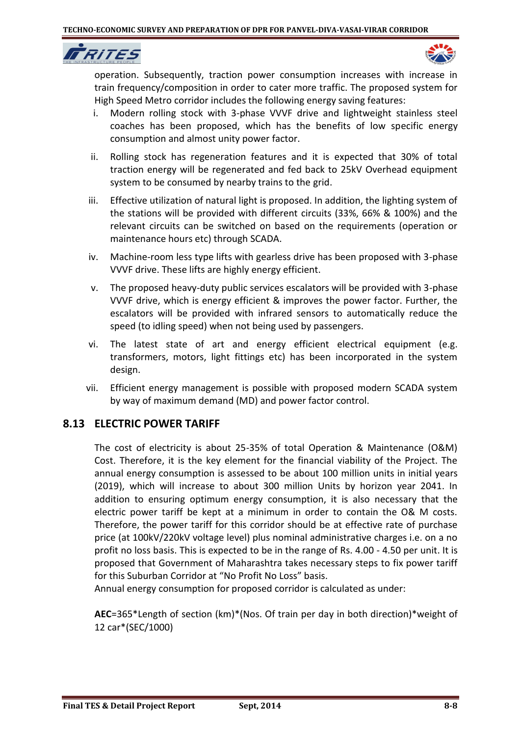IT RITES



operation. Subsequently, traction power consumption increases with increase in train frequency/composition in order to cater more traffic. The proposed system for High Speed Metro corridor includes the following energy saving features:

- i. Modern rolling stock with 3-phase VVVF drive and lightweight stainless steel coaches has been proposed, which has the benefits of low specific energy consumption and almost unity power factor.
- ii. Rolling stock has regeneration features and it is expected that 30% of total traction energy will be regenerated and fed back to 25kV Overhead equipment system to be consumed by nearby trains to the grid.
- iii. Effective utilization of natural light is proposed. In addition, the lighting system of the stations will be provided with different circuits (33%, 66% & 100%) and the relevant circuits can be switched on based on the requirements (operation or maintenance hours etc) through SCADA.
- iv. Machine-room less type lifts with gearless drive has been proposed with 3-phase VVVF drive. These lifts are highly energy efficient.
- v. The proposed heavy-duty public services escalators will be provided with 3-phase VVVF drive, which is energy efficient & improves the power factor. Further, the escalators will be provided with infrared sensors to automatically reduce the speed (to idling speed) when not being used by passengers.
- vi. The latest state of art and energy efficient electrical equipment (e.g. transformers, motors, light fittings etc) has been incorporated in the system design.
- vii. Efficient energy management is possible with proposed modern SCADA system by way of maximum demand (MD) and power factor control.

## **8.13 ELECTRIC POWER TARIFF**

The cost of electricity is about 25-35% of total Operation & Maintenance (O&M) Cost. Therefore, it is the key element for the financial viability of the Project. The annual energy consumption is assessed to be about 100 million units in initial years (2019), which will increase to about 300 million Units by horizon year 2041. In addition to ensuring optimum energy consumption, it is also necessary that the electric power tariff be kept at a minimum in order to contain the O& M costs. Therefore, the power tariff for this corridor should be at effective rate of purchase price (at 100kV/220kV voltage level) plus nominal administrative charges i.e. on a no profit no loss basis. This is expected to be in the range of Rs. 4.00 - 4.50 per unit. It is proposed that Government of Maharashtra takes necessary steps to fix power tariff for this Suburban Corridor at "No Profit No Loss" basis.

Annual energy consumption for proposed corridor is calculated as under:

**AEC**=365\*Length of section (km)\*(Nos. Of train per day in both direction)\*weight of 12 car\*(SEC/1000)